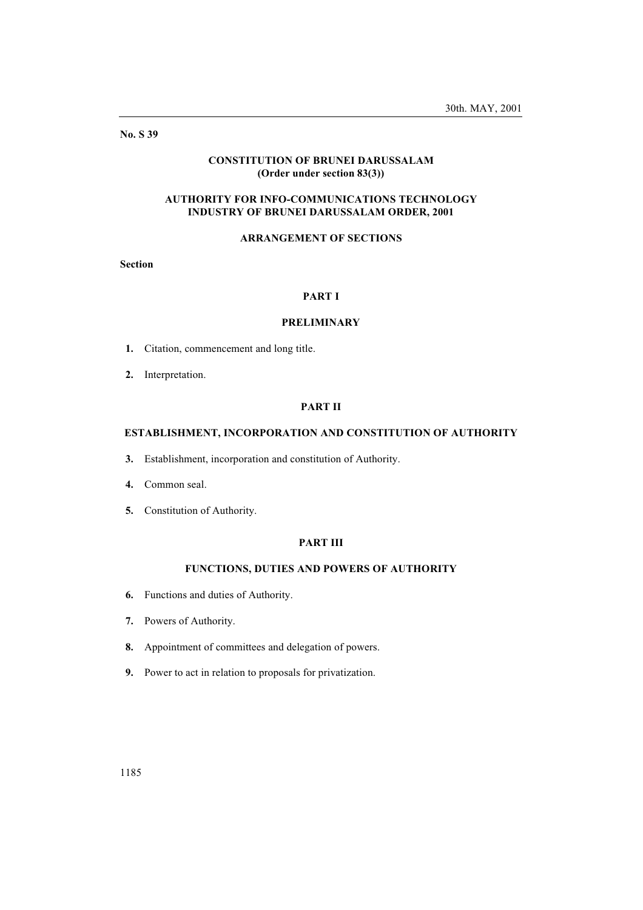No. S 39

# CONSTITUTION OF BRUNEI DARUSSALAM (Order under section 83(3))

# AUTHORITY FOR INFO-COMMUNICATIONS TECHNOLOGY INDUSTRY OF BRUNEI DARUSSALAM ORDER, 2001

# ARRANGEMENT OF SECTIONS

Section

## PART I

### PRELIMINARY

- 1. Citation, commencement and long title.
- 2. Interpretation.

## PART II

# ESTABLISHMENT, INCORPORATION AND CONSTITUTION OF AUTHORITY

- 3. Establishment, incorporation and constitution of Authority.
- 4. Common seal.
- 5. Constitution of Authority.

### PART III

# FUNCTIONS, DUTIES AND POWERS OF AUTHORITY

- 6. Functions and duties of Authority.
- 7. Powers of Authority.
- 8. Appointment of committees and delegation of powers.
- 9. Power to act in relation to proposals for privatization.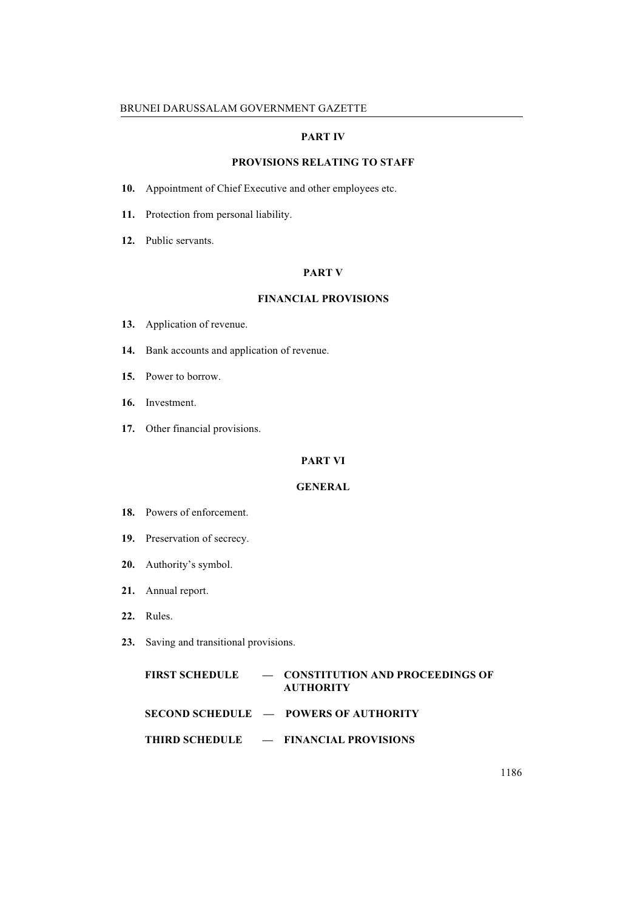# PART IV

# PROVISIONS RELATING TO STAFF

- 10. Appointment of Chief Executive and other employees etc.
- 11. Protection from personal liability.
- 12. Public servants.

### PART V

# FINANCIAL PROVISIONS

- 13. Application of revenue.
- 14. Bank accounts and application of revenue.
- 15. Power to borrow.
- 16. Investment.
- 17. Other financial provisions.

## PART VI

# GENERAL

- 18. Powers of enforcement.
- 19. Preservation of secrecy.
- 20. Authority's symbol.
- 21. Annual report.
- 22. Rules.
- 23. Saving and transitional provisions.

|  | FIRST SCHEDULE - CONSTITUTION AND PROCEEDINGS OF<br><b>AUTHORITY</b> |
|--|----------------------------------------------------------------------|
|  | $SECOND$ SCHEDULE $\qquad$ POWERS OF AUTHORITY                       |
|  | <b>THIRD SCHEDULE <math>\qquad</math> = FINANCIAL PROVISIONS</b>     |

1186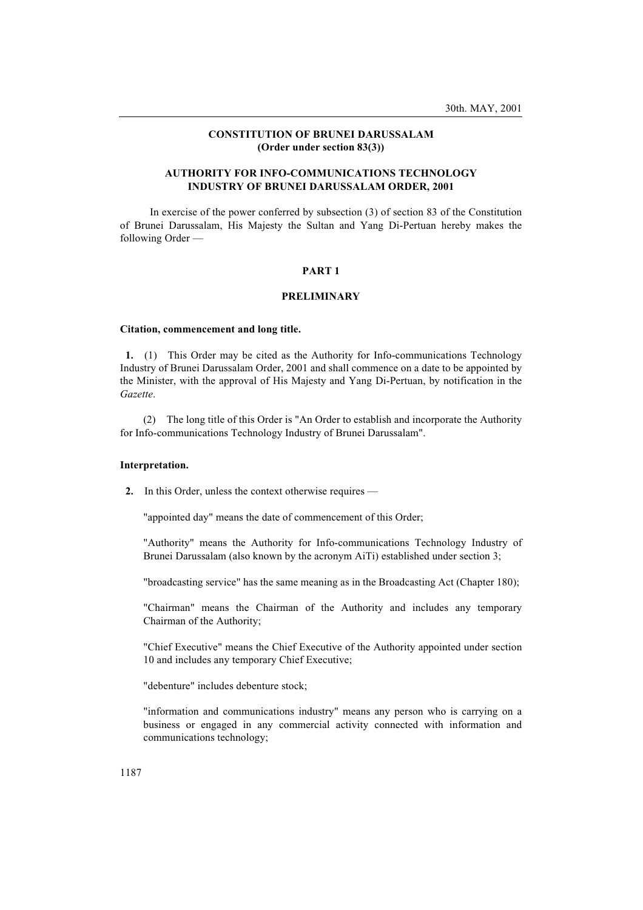## CONSTITUTION OF BRUNEI DARUSSALAM (Order under section 83(3))

## AUTHORITY FOR INFO-COMMUNICATIONS TECHNOLOGY INDUSTRY OF BRUNEI DARUSSALAM ORDER, 2001

In exercise of the power conferred by subsection (3) of section 83 of the Constitution of Brunei Darussalam, His Majesty the Sultan and Yang Di-Pertuan hereby makes the following Order —

### PART 1

### PRELIMINARY

#### Citation, commencement and long title.

1. (1) This Order may be cited as the Authority for Info-communications Technology Industry of Brunei Darussalam Order, 2001 and shall commence on a date to be appointed by the Minister, with the approval of His Majesty and Yang Di-Pertuan, by notification in the Gazette.

(2) The long title of this Order is "An Order to establish and incorporate the Authority for Info-communications Technology Industry of Brunei Darussalam".

## Interpretation.

2. In this Order, unless the context otherwise requires —

"appointed day" means the date of commencement of this Order;

"Authority" means the Authority for Info-communications Technology Industry of Brunei Darussalam (also known by the acronym AiTi) established under section 3;

"broadcasting service" has the same meaning as in the Broadcasting Act (Chapter 180);

"Chairman" means the Chairman of the Authority and includes any temporary Chairman of the Authority;

"Chief Executive" means the Chief Executive of the Authority appointed under section 10 and includes any temporary Chief Executive;

"debenture" includes debenture stock;

"information and communications industry" means any person who is carrying on a business or engaged in any commercial activity connected with information and communications technology;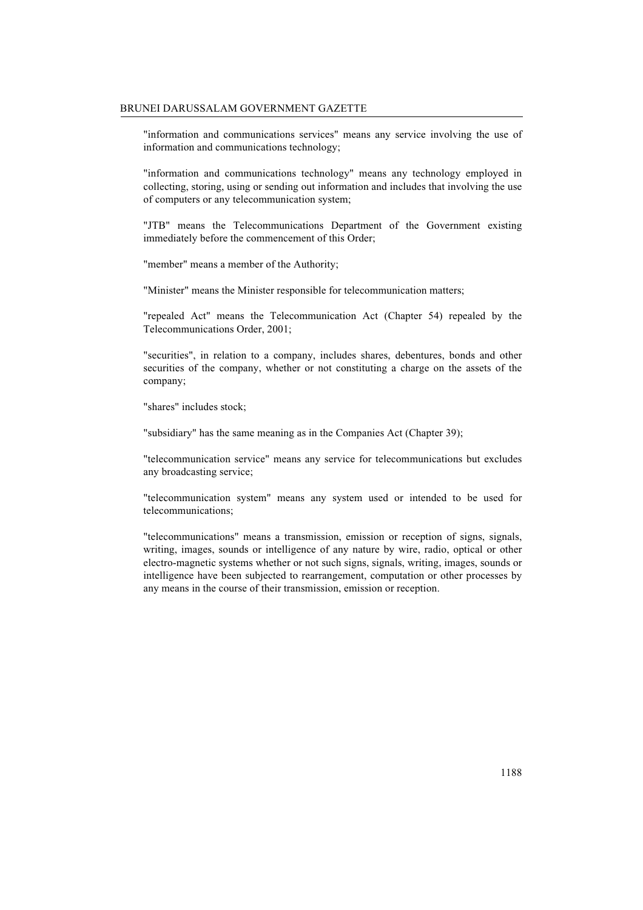"information and communications services" means any service involving the use of information and communications technology;

"information and communications technology" means any technology employed in collecting, storing, using or sending out information and includes that involving the use of computers or any telecommunication system;

"JTB" means the Telecommunications Department of the Government existing immediately before the commencement of this Order;

"member" means a member of the Authority;

"Minister" means the Minister responsible for telecommunication matters;

"repealed Act" means the Telecommunication Act (Chapter 54) repealed by the Telecommunications Order, 2001;

"securities", in relation to a company, includes shares, debentures, bonds and other securities of the company, whether or not constituting a charge on the assets of the company;

"shares" includes stock;

"subsidiary" has the same meaning as in the Companies Act (Chapter 39);

"telecommunication service" means any service for telecommunications but excludes any broadcasting service;

"telecommunication system" means any system used or intended to be used for telecommunications;

"telecommunications" means a transmission, emission or reception of signs, signals, writing, images, sounds or intelligence of any nature by wire, radio, optical or other electro-magnetic systems whether or not such signs, signals, writing, images, sounds or intelligence have been subjected to rearrangement, computation or other processes by any means in the course of their transmission, emission or reception.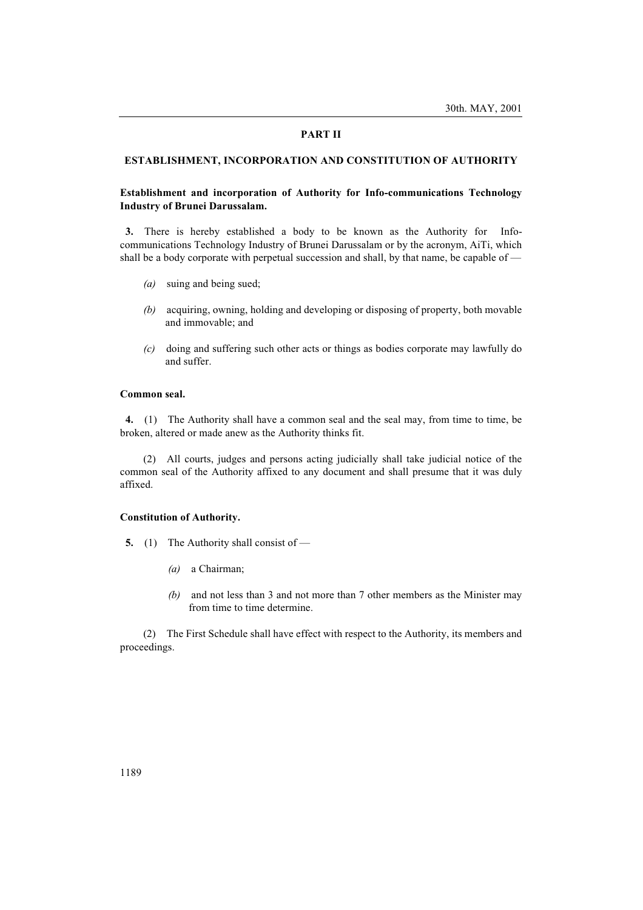#### PART II

### ESTABLISHMENT, INCORPORATION AND CONSTITUTION OF AUTHORITY

# Establishment and incorporation of Authority for Info-communications Technology Industry of Brunei Darussalam.

3. There is hereby established a body to be known as the Authority for Infocommunications Technology Industry of Brunei Darussalam or by the acronym, AiTi, which shall be a body corporate with perpetual succession and shall, by that name, be capable of —

- (a) suing and being sued;
- (b) acquiring, owning, holding and developing or disposing of property, both movable and immovable; and
- (c) doing and suffering such other acts or things as bodies corporate may lawfully do and suffer.

#### Common seal.

4. (1) The Authority shall have a common seal and the seal may, from time to time, be broken, altered or made anew as the Authority thinks fit.

(2) All courts, judges and persons acting judicially shall take judicial notice of the common seal of the Authority affixed to any document and shall presume that it was duly affixed.

### Constitution of Authority.

- 5. (1) The Authority shall consist of
	- (a) a Chairman;
	- (b) and not less than 3 and not more than 7 other members as the Minister may from time to time determine.

(2) The First Schedule shall have effect with respect to the Authority, its members and proceedings.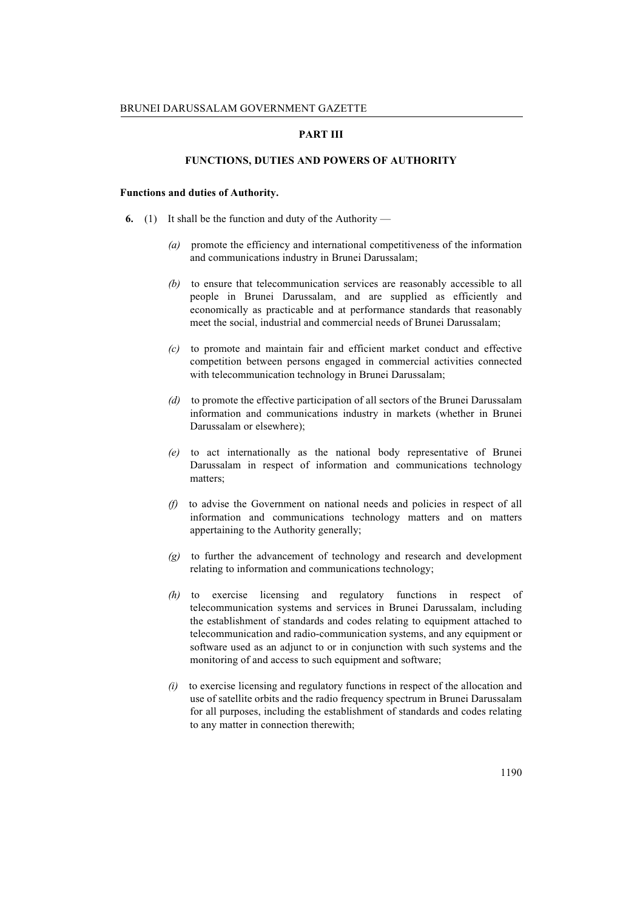### PART III

# FUNCTIONS, DUTIES AND POWERS OF AUTHORITY

### Functions and duties of Authority.

- 6. (1) It shall be the function and duty of the Authority
	- (a) promote the efficiency and international competitiveness of the information and communications industry in Brunei Darussalam;
	- (b) to ensure that telecommunication services are reasonably accessible to all people in Brunei Darussalam, and are supplied as efficiently and economically as practicable and at performance standards that reasonably meet the social, industrial and commercial needs of Brunei Darussalam;
	- (c) to promote and maintain fair and efficient market conduct and effective competition between persons engaged in commercial activities connected with telecommunication technology in Brunei Darussalam;
	- (d) to promote the effective participation of all sectors of the Brunei Darussalam information and communications industry in markets (whether in Brunei Darussalam or elsewhere);
	- (e) to act internationally as the national body representative of Brunei Darussalam in respect of information and communications technology matters;
	- (f) to advise the Government on national needs and policies in respect of all information and communications technology matters and on matters appertaining to the Authority generally;
	- (g) to further the advancement of technology and research and development relating to information and communications technology;
	- (h) to exercise licensing and regulatory functions in respect of telecommunication systems and services in Brunei Darussalam, including the establishment of standards and codes relating to equipment attached to telecommunication and radio-communication systems, and any equipment or software used as an adjunct to or in conjunction with such systems and the monitoring of and access to such equipment and software;
	- (i) to exercise licensing and regulatory functions in respect of the allocation and use of satellite orbits and the radio frequency spectrum in Brunei Darussalam for all purposes, including the establishment of standards and codes relating to any matter in connection therewith;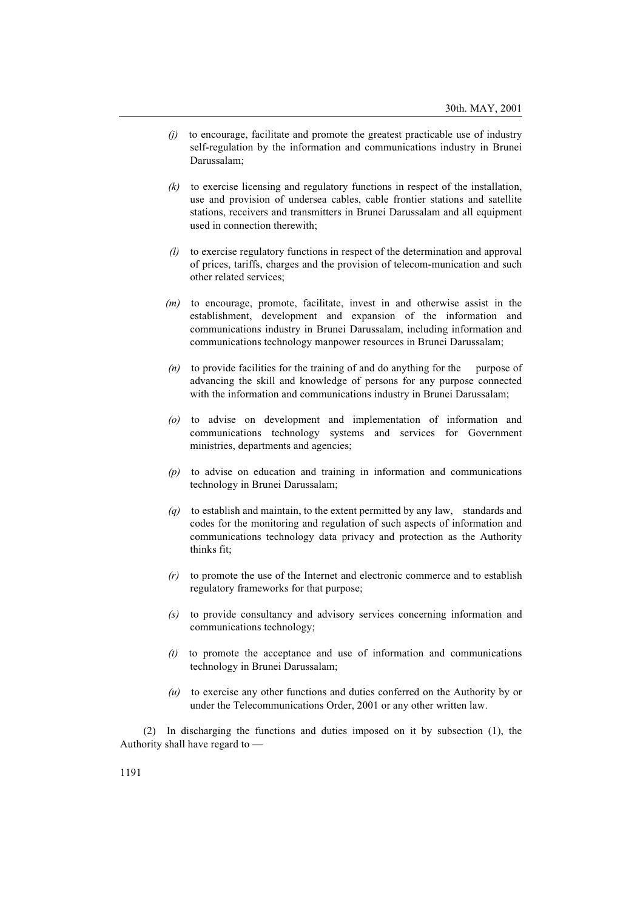- $(i)$  to encourage, facilitate and promote the greatest practicable use of industry self-regulation by the information and communications industry in Brunei Darussalam;
- $(k)$  to exercise licensing and regulatory functions in respect of the installation, use and provision of undersea cables, cable frontier stations and satellite stations, receivers and transmitters in Brunei Darussalam and all equipment used in connection therewith;
- (l) to exercise regulatory functions in respect of the determination and approval of prices, tariffs, charges and the provision of telecom-munication and such other related services;
- $(m)$  to encourage, promote, facilitate, invest in and otherwise assist in the establishment, development and expansion of the information and communications industry in Brunei Darussalam, including information and communications technology manpower resources in Brunei Darussalam;
- $(n)$  to provide facilities for the training of and do anything for the purpose of advancing the skill and knowledge of persons for any purpose connected with the information and communications industry in Brunei Darussalam;
- (o) to advise on development and implementation of information and communications technology systems and services for Government ministries, departments and agencies;
- (p) to advise on education and training in information and communications technology in Brunei Darussalam;
- $(q)$  to establish and maintain, to the extent permitted by any law, standards and codes for the monitoring and regulation of such aspects of information and communications technology data privacy and protection as the Authority thinks fit;
- $(r)$  to promote the use of the Internet and electronic commerce and to establish regulatory frameworks for that purpose;
- (s) to provide consultancy and advisory services concerning information and communications technology;
- $(t)$  to promote the acceptance and use of information and communications technology in Brunei Darussalam;
- $(u)$  to exercise any other functions and duties conferred on the Authority by or under the Telecommunications Order, 2001 or any other written law.

(2) In discharging the functions and duties imposed on it by subsection (1), the Authority shall have regard to —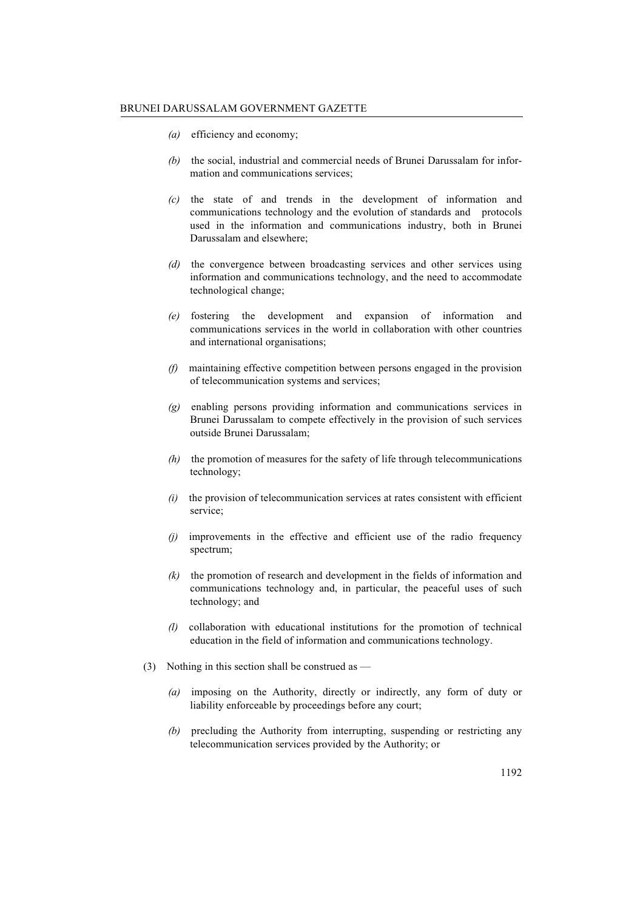- (a) efficiency and economy;
- (b) the social, industrial and commercial needs of Brunei Darussalam for information and communications services;
- $(c)$  the state of and trends in the development of information and communications technology and the evolution of standards and protocols used in the information and communications industry, both in Brunei Darussalam and elsewhere;
- (d) the convergence between broadcasting services and other services using information and communications technology, and the need to accommodate technological change;
- (e) fostering the development and expansion of information and communications services in the world in collaboration with other countries and international organisations;
- (f) maintaining effective competition between persons engaged in the provision of telecommunication systems and services;
- (g) enabling persons providing information and communications services in Brunei Darussalam to compete effectively in the provision of such services outside Brunei Darussalam;
- $(h)$  the promotion of measures for the safety of life through telecommunications technology;
- $(i)$  the provision of telecommunication services at rates consistent with efficient service;
- (j) improvements in the effective and efficient use of the radio frequency spectrum;
- (k) the promotion of research and development in the fields of information and communications technology and, in particular, the peaceful uses of such technology; and
- (l) collaboration with educational institutions for the promotion of technical education in the field of information and communications technology.
- (3) Nothing in this section shall be construed as
	- (a) imposing on the Authority, directly or indirectly, any form of duty or liability enforceable by proceedings before any court;
	- (b) precluding the Authority from interrupting, suspending or restricting any telecommunication services provided by the Authority; or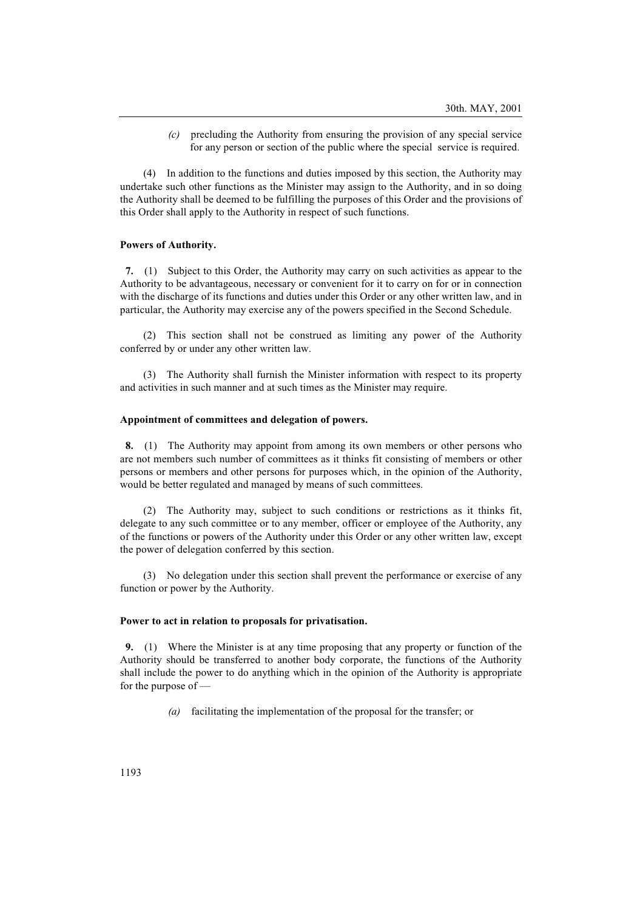(c) precluding the Authority from ensuring the provision of any special service for any person or section of the public where the special service is required.

(4) In addition to the functions and duties imposed by this section, the Authority may undertake such other functions as the Minister may assign to the Authority, and in so doing the Authority shall be deemed to be fulfilling the purposes of this Order and the provisions of this Order shall apply to the Authority in respect of such functions.

#### Powers of Authority.

7. (1) Subject to this Order, the Authority may carry on such activities as appear to the Authority to be advantageous, necessary or convenient for it to carry on for or in connection with the discharge of its functions and duties under this Order or any other written law, and in particular, the Authority may exercise any of the powers specified in the Second Schedule.

(2) This section shall not be construed as limiting any power of the Authority conferred by or under any other written law.

(3) The Authority shall furnish the Minister information with respect to its property and activities in such manner and at such times as the Minister may require.

### Appointment of committees and delegation of powers.

8. (1) The Authority may appoint from among its own members or other persons who are not members such number of committees as it thinks fit consisting of members or other persons or members and other persons for purposes which, in the opinion of the Authority, would be better regulated and managed by means of such committees.

(2) The Authority may, subject to such conditions or restrictions as it thinks fit, delegate to any such committee or to any member, officer or employee of the Authority, any of the functions or powers of the Authority under this Order or any other written law, except the power of delegation conferred by this section.

(3) No delegation under this section shall prevent the performance or exercise of any function or power by the Authority.

#### Power to act in relation to proposals for privatisation.

9. (1) Where the Minister is at any time proposing that any property or function of the Authority should be transferred to another body corporate, the functions of the Authority shall include the power to do anything which in the opinion of the Authority is appropriate for the purpose of —

(a) facilitating the implementation of the proposal for the transfer; or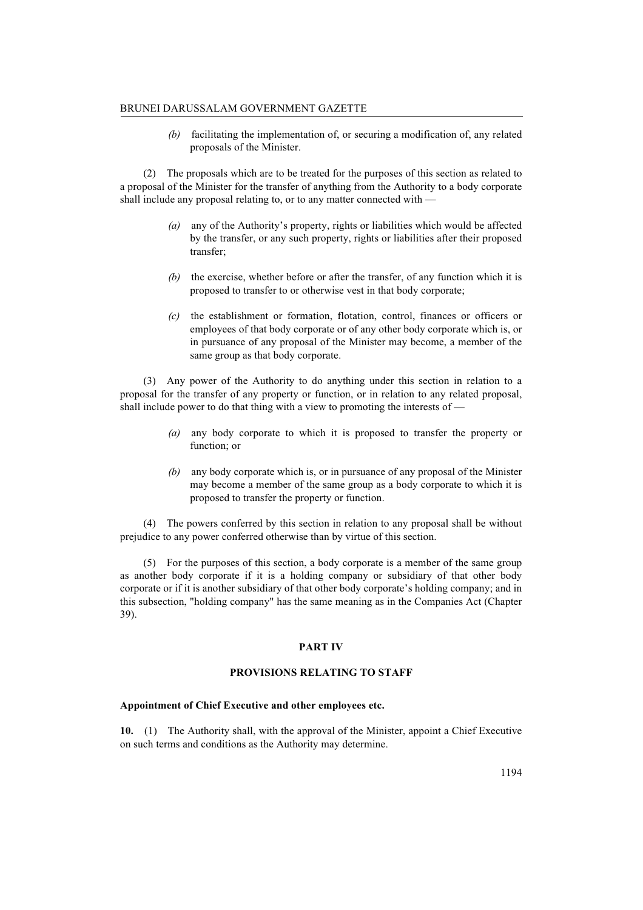(b) facilitating the implementation of, or securing a modification of, any related proposals of the Minister.

(2) The proposals which are to be treated for the purposes of this section as related to a proposal of the Minister for the transfer of anything from the Authority to a body corporate shall include any proposal relating to, or to any matter connected with —

- (a) any of the Authority's property, rights or liabilities which would be affected by the transfer, or any such property, rights or liabilities after their proposed transfer;
- $(b)$  the exercise, whether before or after the transfer, of any function which it is proposed to transfer to or otherwise vest in that body corporate;
- $(c)$  the establishment or formation, flotation, control, finances or officers or employees of that body corporate or of any other body corporate which is, or in pursuance of any proposal of the Minister may become, a member of the same group as that body corporate.

(3) Any power of the Authority to do anything under this section in relation to a proposal for the transfer of any property or function, or in relation to any related proposal, shall include power to do that thing with a view to promoting the interests of —

- (a) any body corporate to which it is proposed to transfer the property or function; or
- (b) any body corporate which is, or in pursuance of any proposal of the Minister may become a member of the same group as a body corporate to which it is proposed to transfer the property or function.

(4) The powers conferred by this section in relation to any proposal shall be without prejudice to any power conferred otherwise than by virtue of this section.

(5) For the purposes of this section, a body corporate is a member of the same group as another body corporate if it is a holding company or subsidiary of that other body corporate or if it is another subsidiary of that other body corporate's holding company; and in this subsection, "holding company" has the same meaning as in the Companies Act (Chapter 39).

## PART IV

## PROVISIONS RELATING TO STAFF

### Appointment of Chief Executive and other employees etc.

10. (1) The Authority shall, with the approval of the Minister, appoint a Chief Executive on such terms and conditions as the Authority may determine.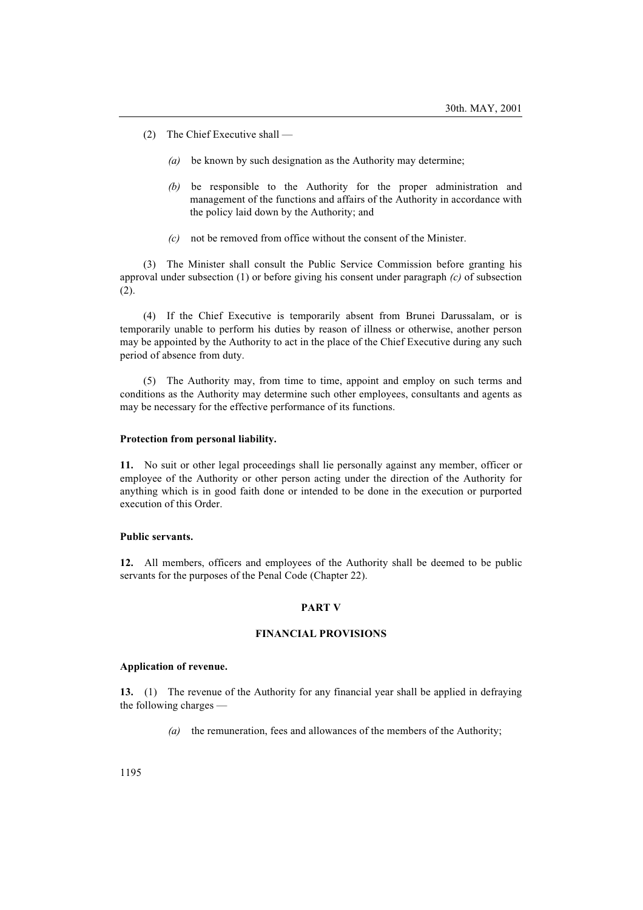- (2) The Chief Executive shall
	- (a) be known by such designation as the Authority may determine;
	- (b) be responsible to the Authority for the proper administration and management of the functions and affairs of the Authority in accordance with the policy laid down by the Authority; and
	- (c) not be removed from office without the consent of the Minister.

(3) The Minister shall consult the Public Service Commission before granting his approval under subsection (1) or before giving his consent under paragraph  $(c)$  of subsection (2).

(4) If the Chief Executive is temporarily absent from Brunei Darussalam, or is temporarily unable to perform his duties by reason of illness or otherwise, another person may be appointed by the Authority to act in the place of the Chief Executive during any such period of absence from duty.

(5) The Authority may, from time to time, appoint and employ on such terms and conditions as the Authority may determine such other employees, consultants and agents as may be necessary for the effective performance of its functions.

#### Protection from personal liability.

11. No suit or other legal proceedings shall lie personally against any member, officer or employee of the Authority or other person acting under the direction of the Authority for anything which is in good faith done or intended to be done in the execution or purported execution of this Order.

### Public servants.

12. All members, officers and employees of the Authority shall be deemed to be public servants for the purposes of the Penal Code (Chapter 22).

### PART V

### FINANCIAL PROVISIONS

#### Application of revenue.

13. (1) The revenue of the Authority for any financial year shall be applied in defraying the following charges —

(a) the remuneration, fees and allowances of the members of the Authority;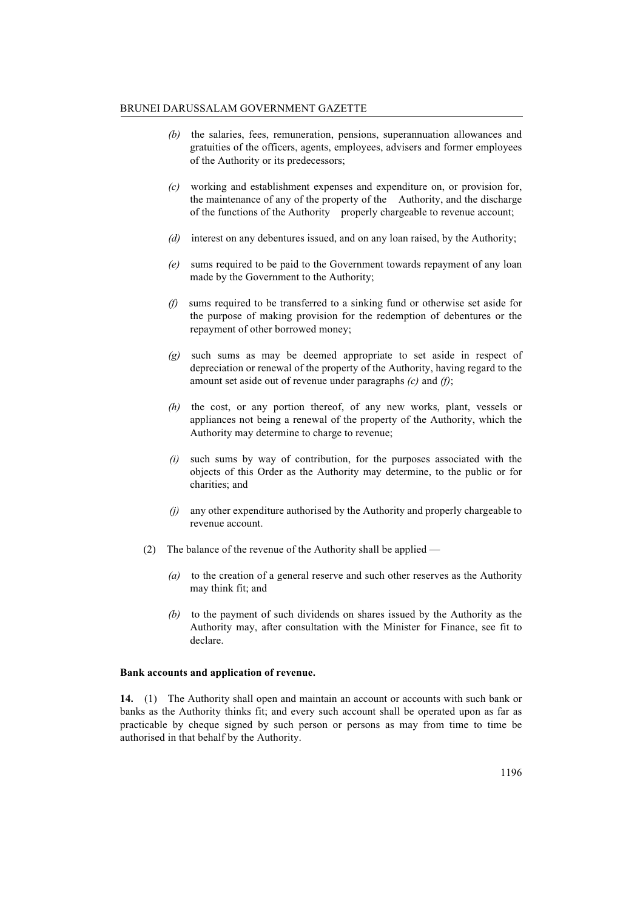#### BRUNEI DARUSSALAM GOVERNMENT GAZETTE

- (b) the salaries, fees, remuneration, pensions, superannuation allowances and gratuities of the officers, agents, employees, advisers and former employees of the Authority or its predecessors;
- (c) working and establishment expenses and expenditure on, or provision for, the maintenance of any of the property of the Authority, and the discharge of the functions of the Authority properly chargeable to revenue account;
- (d) interest on any debentures issued, and on any loan raised, by the Authority;
- (e) sums required to be paid to the Government towards repayment of any loan made by the Government to the Authority;
- (f) sums required to be transferred to a sinking fund or otherwise set aside for the purpose of making provision for the redemption of debentures or the repayment of other borrowed money;
- (g) such sums as may be deemed appropriate to set aside in respect of depreciation or renewal of the property of the Authority, having regard to the amount set aside out of revenue under paragraphs  $(c)$  and  $(f)$ ;
- (h) the cost, or any portion thereof, of any new works, plant, vessels or appliances not being a renewal of the property of the Authority, which the Authority may determine to charge to revenue;
- $(i)$  such sums by way of contribution, for the purposes associated with the objects of this Order as the Authority may determine, to the public or for charities; and
- (j) any other expenditure authorised by the Authority and properly chargeable to revenue account.
- (2) The balance of the revenue of the Authority shall be applied
	- (a) to the creation of a general reserve and such other reserves as the Authority may think fit; and
	- (b) to the payment of such dividends on shares issued by the Authority as the Authority may, after consultation with the Minister for Finance, see fit to declare.

### Bank accounts and application of revenue.

14. (1) The Authority shall open and maintain an account or accounts with such bank or banks as the Authority thinks fit; and every such account shall be operated upon as far as practicable by cheque signed by such person or persons as may from time to time be authorised in that behalf by the Authority.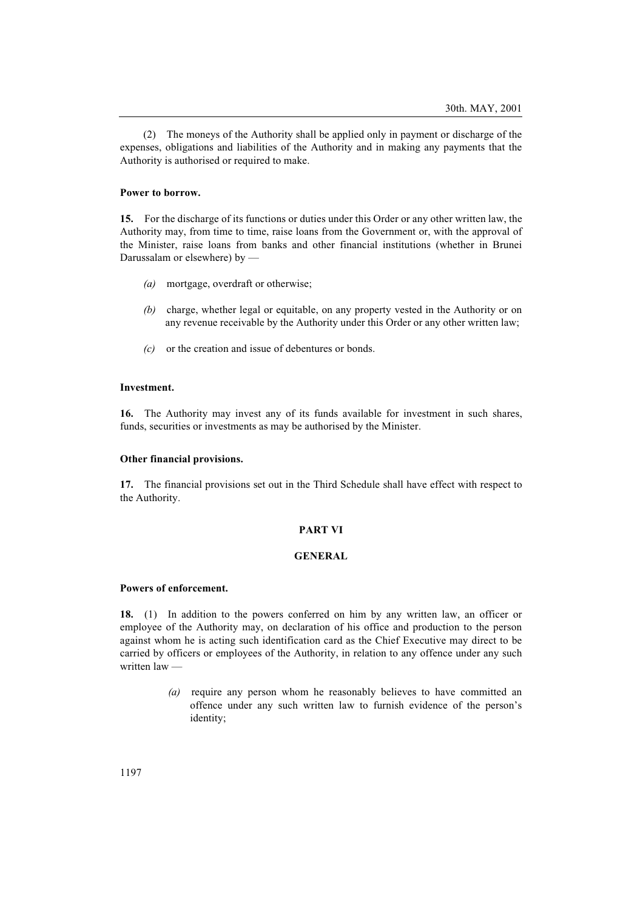(2) The moneys of the Authority shall be applied only in payment or discharge of the expenses, obligations and liabilities of the Authority and in making any payments that the Authority is authorised or required to make.

#### Power to borrow.

15. For the discharge of its functions or duties under this Order or any other written law, the Authority may, from time to time, raise loans from the Government or, with the approval of the Minister, raise loans from banks and other financial institutions (whether in Brunei Darussalam or elsewhere) by —

- (a) mortgage, overdraft or otherwise;
- (b) charge, whether legal or equitable, on any property vested in the Authority or on any revenue receivable by the Authority under this Order or any other written law;
- (c) or the creation and issue of debentures or bonds.

## Investment.

16. The Authority may invest any of its funds available for investment in such shares, funds, securities or investments as may be authorised by the Minister.

### Other financial provisions.

17. The financial provisions set out in the Third Schedule shall have effect with respect to the Authority.

## PART VI

## GENERAL

## Powers of enforcement.

18. (1) In addition to the powers conferred on him by any written law, an officer or employee of the Authority may, on declaration of his office and production to the person against whom he is acting such identification card as the Chief Executive may direct to be carried by officers or employees of the Authority, in relation to any offence under any such written law —

> (a) require any person whom he reasonably believes to have committed an offence under any such written law to furnish evidence of the person's identity;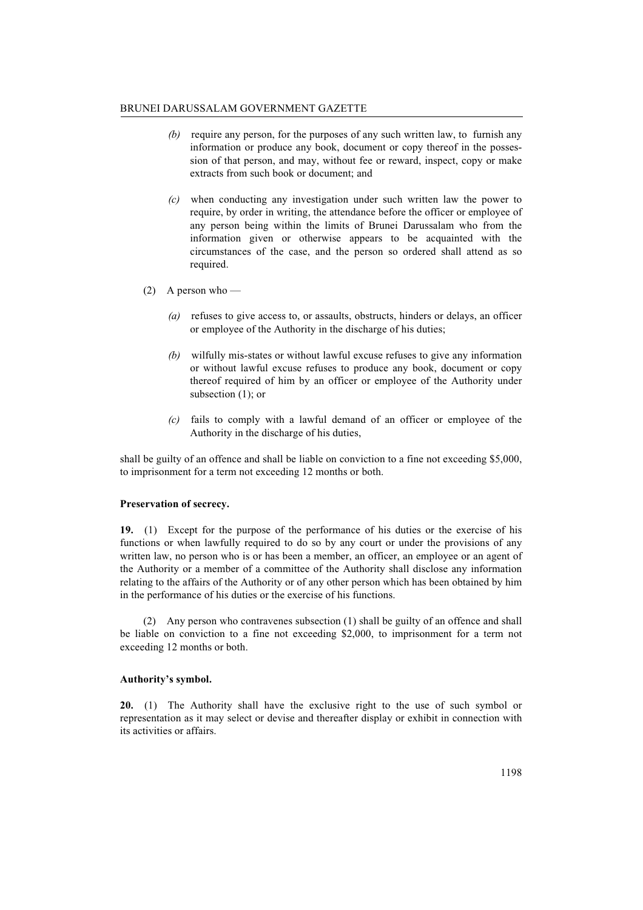### BRUNEI DARUSSALAM GOVERNMENT GAZETTE

- (b) require any person, for the purposes of any such written law, to furnish any information or produce any book, document or copy thereof in the possession of that person, and may, without fee or reward, inspect, copy or make extracts from such book or document; and
- (c) when conducting any investigation under such written law the power to require, by order in writing, the attendance before the officer or employee of any person being within the limits of Brunei Darussalam who from the information given or otherwise appears to be acquainted with the circumstances of the case, and the person so ordered shall attend as so required.
- (2) A person who
	- (a) refuses to give access to, or assaults, obstructs, hinders or delays, an officer or employee of the Authority in the discharge of his duties;
	- (b) wilfully mis-states or without lawful excuse refuses to give any information or without lawful excuse refuses to produce any book, document or copy thereof required of him by an officer or employee of the Authority under subsection (1); or
	- (c) fails to comply with a lawful demand of an officer or employee of the Authority in the discharge of his duties,

shall be guilty of an offence and shall be liable on conviction to a fine not exceeding \$5,000, to imprisonment for a term not exceeding 12 months or both.

## Preservation of secrecy.

19. (1) Except for the purpose of the performance of his duties or the exercise of his functions or when lawfully required to do so by any court or under the provisions of any written law, no person who is or has been a member, an officer, an employee or an agent of the Authority or a member of a committee of the Authority shall disclose any information relating to the affairs of the Authority or of any other person which has been obtained by him in the performance of his duties or the exercise of his functions.

(2) Any person who contravenes subsection (1) shall be guilty of an offence and shall be liable on conviction to a fine not exceeding \$2,000, to imprisonment for a term not exceeding 12 months or both.

## Authority's symbol.

20. (1) The Authority shall have the exclusive right to the use of such symbol or representation as it may select or devise and thereafter display or exhibit in connection with its activities or affairs.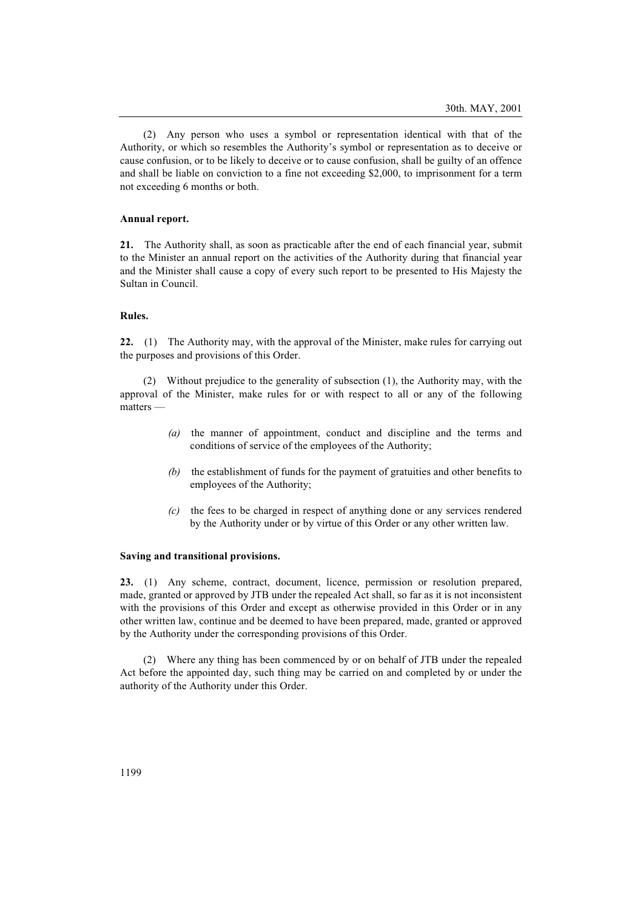(2) Any person who uses a symbol or representation identical with that of the Authority, or which so resembles the Authority's symbol or representation as to deceive or cause confusion, or to be likely to deceive or to cause confusion, shall be guilty of an offence and shall be liable on conviction to a fine not exceeding \$2,000, to imprisonment for a term not exceeding 6 months or both.

### Annual report.

21. The Authority shall, as soon as practicable after the end of each financial year, submit to the Minister an annual report on the activities of the Authority during that financial year and the Minister shall cause a copy of every such report to be presented to His Majesty the Sultan in Council.

### Rules.

22. (1) The Authority may, with the approval of the Minister, make rules for carrying out the purposes and provisions of this Order.

(2) Without prejudice to the generality of subsection (1), the Authority may, with the approval of the Minister, make rules for or with respect to all or any of the following matters —

- (a) the manner of appointment, conduct and discipline and the terms and conditions of service of the employees of the Authority;
- (b) the establishment of funds for the payment of gratuities and other benefits to employees of the Authority;
- (c) the fees to be charged in respect of anything done or any services rendered by the Authority under or by virtue of this Order or any other written law.

#### Saving and transitional provisions.

23. (1) Any scheme, contract, document, licence, permission or resolution prepared, made, granted or approved by JTB under the repealed Act shall, so far as it is not inconsistent with the provisions of this Order and except as otherwise provided in this Order or in any other written law, continue and be deemed to have been prepared, made, granted or approved by the Authority under the corresponding provisions of this Order.

(2) Where any thing has been commenced by or on behalf of JTB under the repealed Act before the appointed day, such thing may be carried on and completed by or under the authority of the Authority under this Order.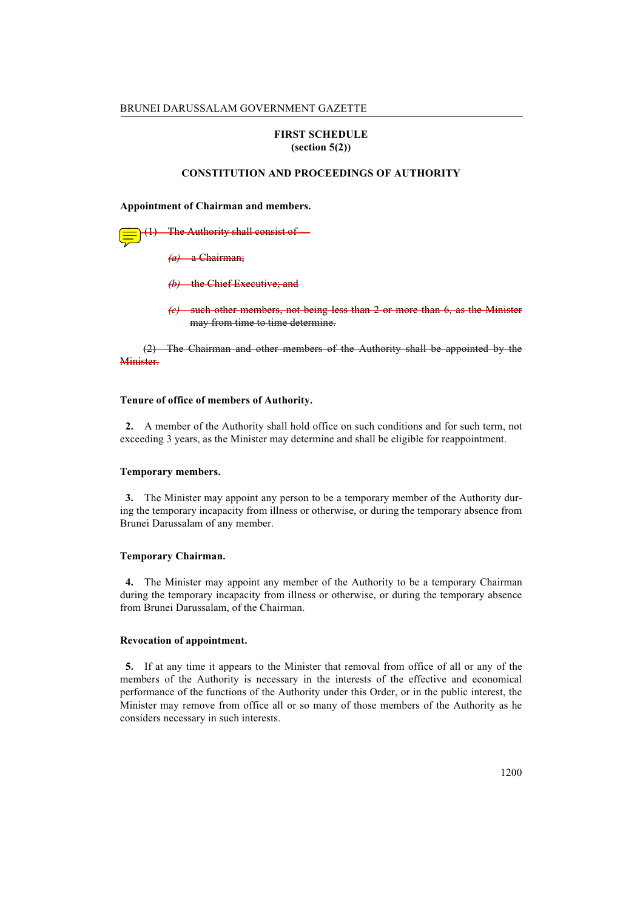## FIRST SCHEDULE (section 5(2))

## CONSTITUTION AND PROCEEDINGS OF AUTHORITY

Appointment of Chairman and members.

The Authority shall consist of  $(a)$  a Chairman:

(b) the Chief Executive; and

 $\langle e \rangle$  such other members, not being less than 2 or more than 6, as the Minister may from time to time determine.

(2) The Chairman and other members of the Authority shall be appointed by the Minister.

#### Tenure of office of members of Authority.

2. A member of the Authority shall hold office on such conditions and for such term, not exceeding 3 years, as the Minister may determine and shall be eligible for reappointment.

### Temporary members.

3. The Minister may appoint any person to be a temporary member of the Authority during the temporary incapacity from illness or otherwise, or during the temporary absence from Brunei Darussalam of any member.

#### Temporary Chairman.

4. The Minister may appoint any member of the Authority to be a temporary Chairman during the temporary incapacity from illness or otherwise, or during the temporary absence from Brunei Darussalam, of the Chairman.

### Revocation of appointment.

5. If at any time it appears to the Minister that removal from office of all or any of the members of the Authority is necessary in the interests of the effective and economical performance of the functions of the Authority under this Order, or in the public interest, the Minister may remove from office all or so many of those members of the Authority as he considers necessary in such interests.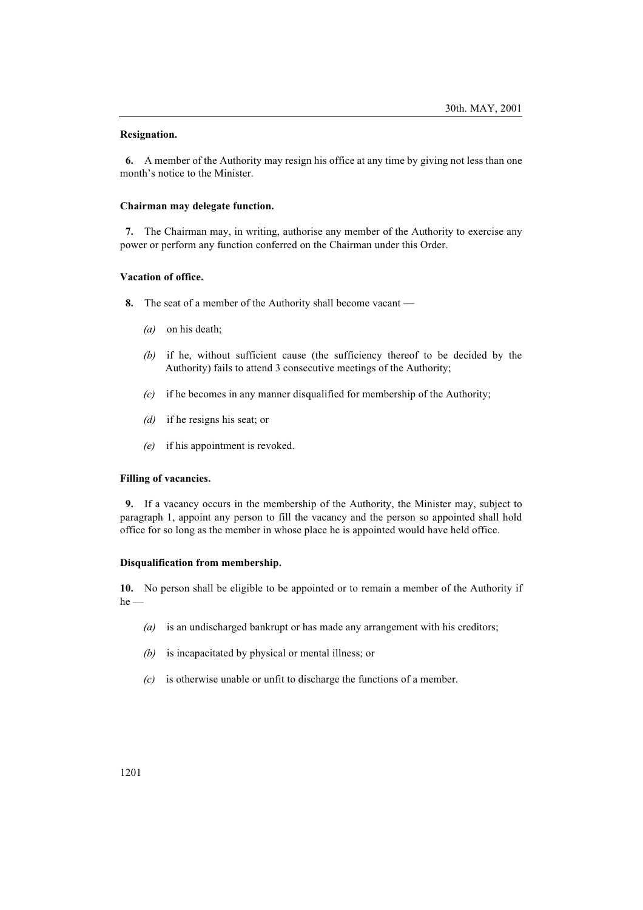### Resignation.

6. A member of the Authority may resign his office at any time by giving not less than one month's notice to the Minister.

### Chairman may delegate function.

7. The Chairman may, in writing, authorise any member of the Authority to exercise any power or perform any function conferred on the Chairman under this Order.

## Vacation of office.

- 8. The seat of a member of the Authority shall become vacant
	- (a) on his death;
	- (b) if he, without sufficient cause (the sufficiency thereof to be decided by the Authority) fails to attend 3 consecutive meetings of the Authority;
	- $(c)$  if he becomes in any manner disqualified for membership of the Authority;
	- (d) if he resigns his seat; or
	- (e) if his appointment is revoked.

## Filling of vacancies.

9. If a vacancy occurs in the membership of the Authority, the Minister may, subject to paragraph 1, appoint any person to fill the vacancy and the person so appointed shall hold office for so long as the member in whose place he is appointed would have held office.

### Disqualification from membership.

10. No person shall be eligible to be appointed or to remain a member of the Authority if  $he$  —

- ( $a$ ) is an undischarged bankrupt or has made any arrangement with his creditors;
- (b) is incapacitated by physical or mental illness; or
- $(c)$  is otherwise unable or unfit to discharge the functions of a member.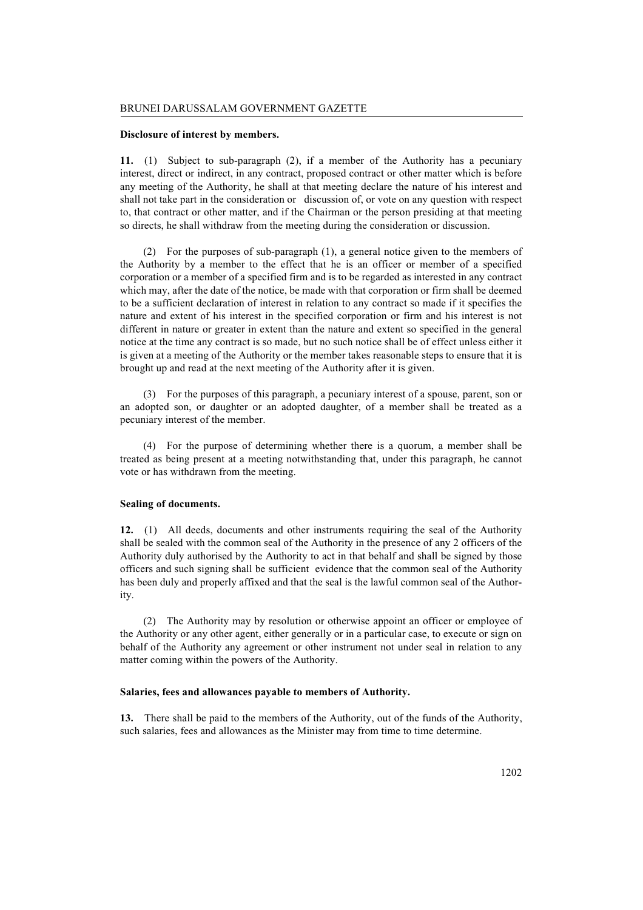## Disclosure of interest by members.

11. (1) Subject to sub-paragraph (2), if a member of the Authority has a pecuniary interest, direct or indirect, in any contract, proposed contract or other matter which is before any meeting of the Authority, he shall at that meeting declare the nature of his interest and shall not take part in the consideration or discussion of, or vote on any question with respect to, that contract or other matter, and if the Chairman or the person presiding at that meeting so directs, he shall withdraw from the meeting during the consideration or discussion.

(2) For the purposes of sub-paragraph (1), a general notice given to the members of the Authority by a member to the effect that he is an officer or member of a specified corporation or a member of a specified firm and is to be regarded as interested in any contract which may, after the date of the notice, be made with that corporation or firm shall be deemed to be a sufficient declaration of interest in relation to any contract so made if it specifies the nature and extent of his interest in the specified corporation or firm and his interest is not different in nature or greater in extent than the nature and extent so specified in the general notice at the time any contract is so made, but no such notice shall be of effect unless either it is given at a meeting of the Authority or the member takes reasonable steps to ensure that it is brought up and read at the next meeting of the Authority after it is given.

(3) For the purposes of this paragraph, a pecuniary interest of a spouse, parent, son or an adopted son, or daughter or an adopted daughter, of a member shall be treated as a pecuniary interest of the member.

(4) For the purpose of determining whether there is a quorum, a member shall be treated as being present at a meeting notwithstanding that, under this paragraph, he cannot vote or has withdrawn from the meeting.

# Sealing of documents.

12. (1) All deeds, documents and other instruments requiring the seal of the Authority shall be sealed with the common seal of the Authority in the presence of any 2 officers of the Authority duly authorised by the Authority to act in that behalf and shall be signed by those officers and such signing shall be sufficient evidence that the common seal of the Authority has been duly and properly affixed and that the seal is the lawful common seal of the Authority.

(2) The Authority may by resolution or otherwise appoint an officer or employee of the Authority or any other agent, either generally or in a particular case, to execute or sign on behalf of the Authority any agreement or other instrument not under seal in relation to any matter coming within the powers of the Authority.

#### Salaries, fees and allowances payable to members of Authority.

13. There shall be paid to the members of the Authority, out of the funds of the Authority, such salaries, fees and allowances as the Minister may from time to time determine.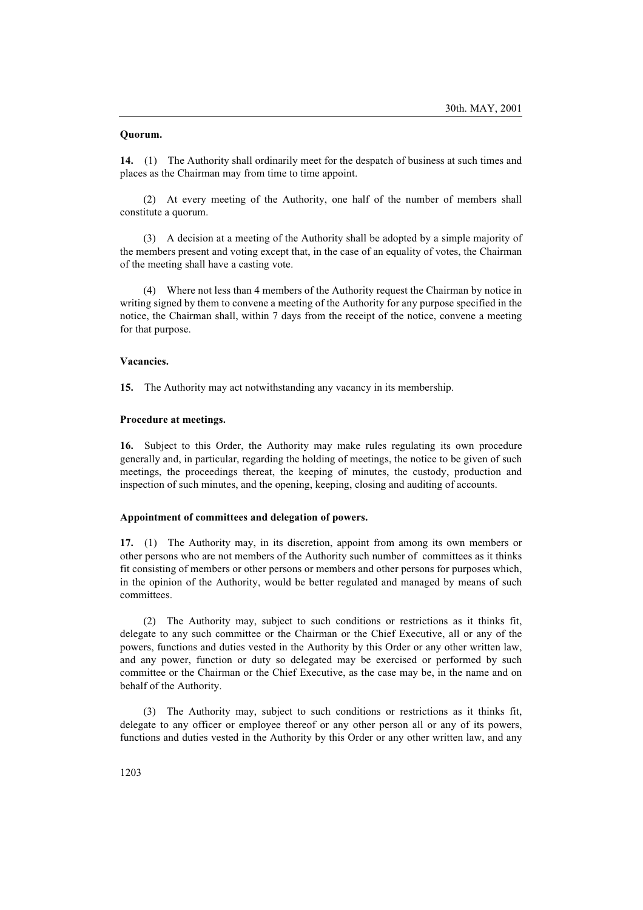## Quorum.

14. (1) The Authority shall ordinarily meet for the despatch of business at such times and places as the Chairman may from time to time appoint.

(2) At every meeting of the Authority, one half of the number of members shall constitute a quorum.

(3) A decision at a meeting of the Authority shall be adopted by a simple majority of the members present and voting except that, in the case of an equality of votes, the Chairman of the meeting shall have a casting vote.

(4) Where not less than 4 members of the Authority request the Chairman by notice in writing signed by them to convene a meeting of the Authority for any purpose specified in the notice, the Chairman shall, within 7 days from the receipt of the notice, convene a meeting for that purpose.

## Vacancies.

15. The Authority may act notwithstanding any vacancy in its membership.

### Procedure at meetings.

16. Subject to this Order, the Authority may make rules regulating its own procedure generally and, in particular, regarding the holding of meetings, the notice to be given of such meetings, the proceedings thereat, the keeping of minutes, the custody, production and inspection of such minutes, and the opening, keeping, closing and auditing of accounts.

### Appointment of committees and delegation of powers.

17. (1) The Authority may, in its discretion, appoint from among its own members or other persons who are not members of the Authority such number of committees as it thinks fit consisting of members or other persons or members and other persons for purposes which, in the opinion of the Authority, would be better regulated and managed by means of such committees.

(2) The Authority may, subject to such conditions or restrictions as it thinks fit, delegate to any such committee or the Chairman or the Chief Executive, all or any of the powers, functions and duties vested in the Authority by this Order or any other written law, and any power, function or duty so delegated may be exercised or performed by such committee or the Chairman or the Chief Executive, as the case may be, in the name and on behalf of the Authority.

(3) The Authority may, subject to such conditions or restrictions as it thinks fit, delegate to any officer or employee thereof or any other person all or any of its powers, functions and duties vested in the Authority by this Order or any other written law, and any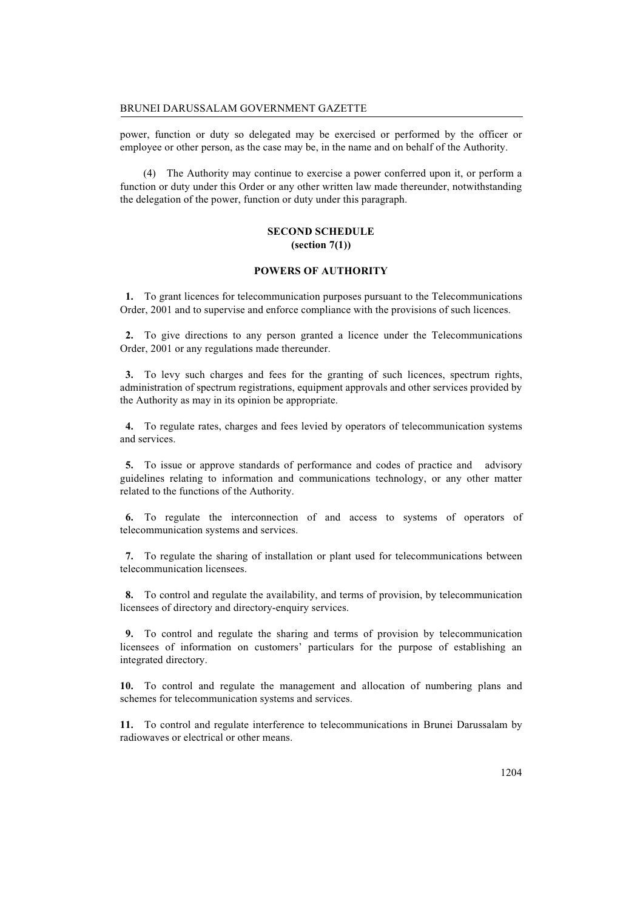power, function or duty so delegated may be exercised or performed by the officer or employee or other person, as the case may be, in the name and on behalf of the Authority.

(4) The Authority may continue to exercise a power conferred upon it, or perform a function or duty under this Order or any other written law made thereunder, notwithstanding the delegation of the power, function or duty under this paragraph.

# SECOND SCHEDULE (section 7(1))

### POWERS OF AUTHORITY

1. To grant licences for telecommunication purposes pursuant to the Telecommunications Order, 2001 and to supervise and enforce compliance with the provisions of such licences.

2. To give directions to any person granted a licence under the Telecommunications Order, 2001 or any regulations made thereunder.

3. To levy such charges and fees for the granting of such licences, spectrum rights, administration of spectrum registrations, equipment approvals and other services provided by the Authority as may in its opinion be appropriate.

4. To regulate rates, charges and fees levied by operators of telecommunication systems and services.

5. To issue or approve standards of performance and codes of practice and advisory guidelines relating to information and communications technology, or any other matter related to the functions of the Authority.

6. To regulate the interconnection of and access to systems of operators of telecommunication systems and services.

7. To regulate the sharing of installation or plant used for telecommunications between telecommunication licensees.

8. To control and regulate the availability, and terms of provision, by telecommunication licensees of directory and directory-enquiry services.

9. To control and regulate the sharing and terms of provision by telecommunication licensees of information on customers' particulars for the purpose of establishing an integrated directory.

10. To control and regulate the management and allocation of numbering plans and schemes for telecommunication systems and services.

11. To control and regulate interference to telecommunications in Brunei Darussalam by radiowaves or electrical or other means.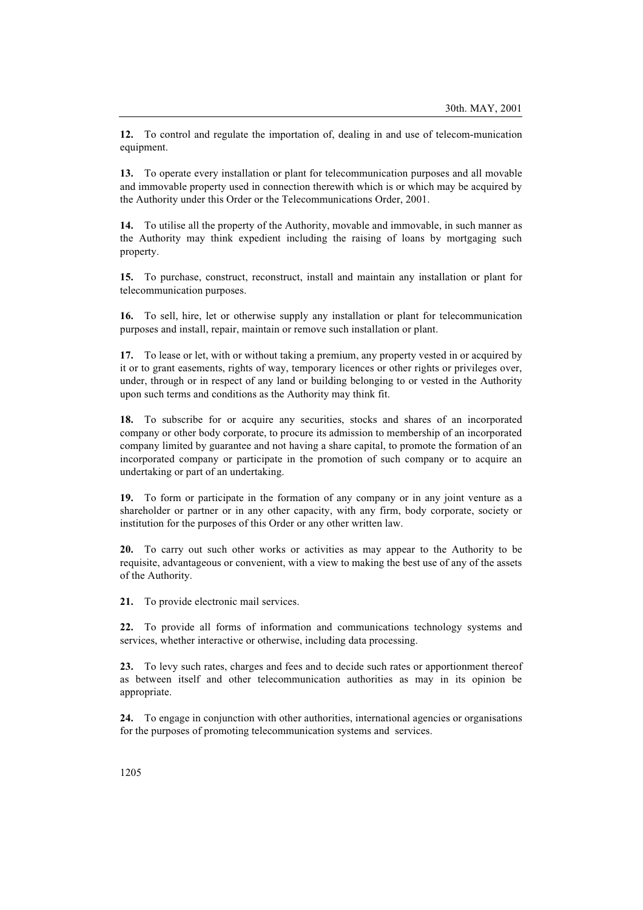12. To control and regulate the importation of, dealing in and use of telecom-munication equipment.

13. To operate every installation or plant for telecommunication purposes and all movable and immovable property used in connection therewith which is or which may be acquired by the Authority under this Order or the Telecommunications Order, 2001.

14. To utilise all the property of the Authority, movable and immovable, in such manner as the Authority may think expedient including the raising of loans by mortgaging such property.

15. To purchase, construct, reconstruct, install and maintain any installation or plant for telecommunication purposes.

16. To sell, hire, let or otherwise supply any installation or plant for telecommunication purposes and install, repair, maintain or remove such installation or plant.

17. To lease or let, with or without taking a premium, any property vested in or acquired by it or to grant easements, rights of way, temporary licences or other rights or privileges over, under, through or in respect of any land or building belonging to or vested in the Authority upon such terms and conditions as the Authority may think fit.

18. To subscribe for or acquire any securities, stocks and shares of an incorporated company or other body corporate, to procure its admission to membership of an incorporated company limited by guarantee and not having a share capital, to promote the formation of an incorporated company or participate in the promotion of such company or to acquire an undertaking or part of an undertaking.

19. To form or participate in the formation of any company or in any joint venture as a shareholder or partner or in any other capacity, with any firm, body corporate, society or institution for the purposes of this Order or any other written law.

20. To carry out such other works or activities as may appear to the Authority to be requisite, advantageous or convenient, with a view to making the best use of any of the assets of the Authority.

21. To provide electronic mail services.

22. To provide all forms of information and communications technology systems and services, whether interactive or otherwise, including data processing.

23. To levy such rates, charges and fees and to decide such rates or apportionment thereof as between itself and other telecommunication authorities as may in its opinion be appropriate.

24. To engage in conjunction with other authorities, international agencies or organisations for the purposes of promoting telecommunication systems and services.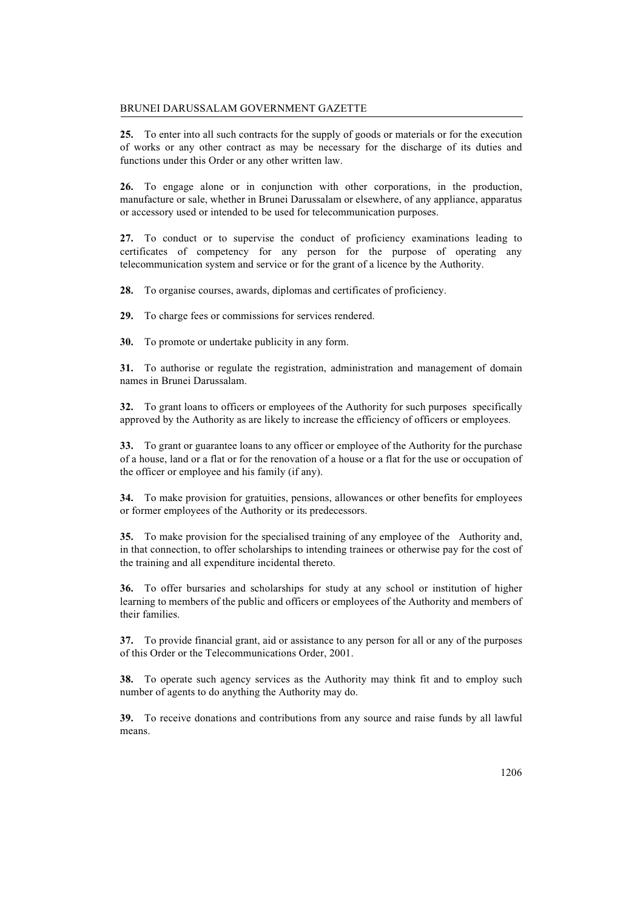### BRUNEI DARUSSALAM GOVERNMENT GAZETTE

25. To enter into all such contracts for the supply of goods or materials or for the execution of works or any other contract as may be necessary for the discharge of its duties and functions under this Order or any other written law.

26. To engage alone or in conjunction with other corporations, in the production, manufacture or sale, whether in Brunei Darussalam or elsewhere, of any appliance, apparatus or accessory used or intended to be used for telecommunication purposes.

27. To conduct or to supervise the conduct of proficiency examinations leading to certificates of competency for any person for the purpose of operating any telecommunication system and service or for the grant of a licence by the Authority.

28. To organise courses, awards, diplomas and certificates of proficiency.

29. To charge fees or commissions for services rendered.

30. To promote or undertake publicity in any form.

31. To authorise or regulate the registration, administration and management of domain names in Brunei Darussalam.

32. To grant loans to officers or employees of the Authority for such purposes specifically approved by the Authority as are likely to increase the efficiency of officers or employees.

33. To grant or guarantee loans to any officer or employee of the Authority for the purchase of a house, land or a flat or for the renovation of a house or a flat for the use or occupation of the officer or employee and his family (if any).

34. To make provision for gratuities, pensions, allowances or other benefits for employees or former employees of the Authority or its predecessors.

35. To make provision for the specialised training of any employee of the Authority and, in that connection, to offer scholarships to intending trainees or otherwise pay for the cost of the training and all expenditure incidental thereto.

36. To offer bursaries and scholarships for study at any school or institution of higher learning to members of the public and officers or employees of the Authority and members of their families.

37. To provide financial grant, aid or assistance to any person for all or any of the purposes of this Order or the Telecommunications Order, 2001.

38. To operate such agency services as the Authority may think fit and to employ such number of agents to do anything the Authority may do.

39. To receive donations and contributions from any source and raise funds by all lawful means.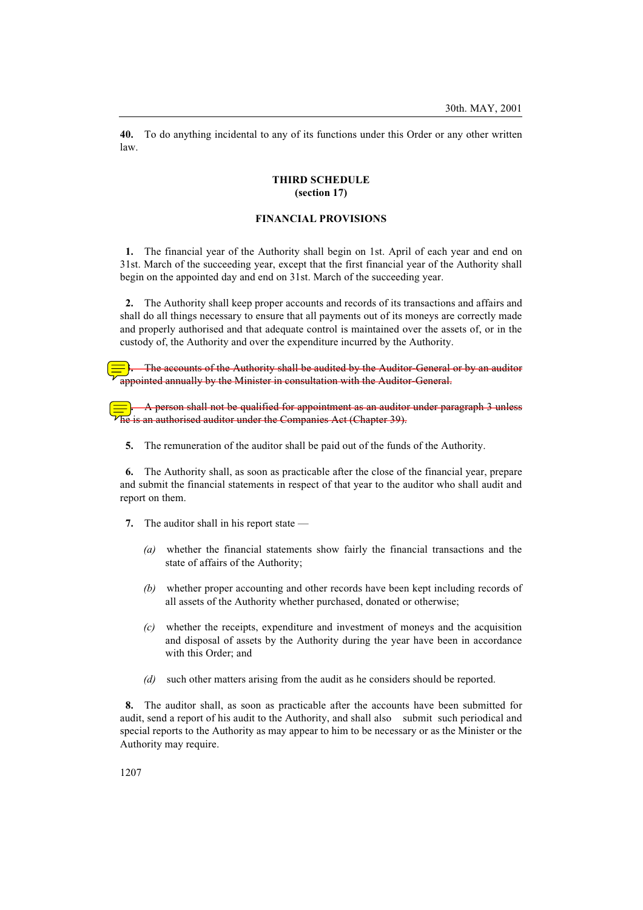40. To do anything incidental to any of its functions under this Order or any other written law.

### THIRD SCHEDULE (section 17)

## FINANCIAL PROVISIONS

1. The financial year of the Authority shall begin on 1st. April of each year and end on 31st. March of the succeeding year, except that the first financial year of the Authority shall begin on the appointed day and end on 31st. March of the succeeding year.

2. The Authority shall keep proper accounts and records of its transactions and affairs and shall do all things necessary to ensure that all payments out of its moneys are correctly made and properly authorised and that adequate control is maintained over the assets of, or in the custody of, the Authority and over the expenditure incurred by the Authority.

The accounts of the Authority shall be audited by the Auditor-General or by an auditor appointed annually by the Minister in consultation with the Auditor-General.

4. A person shall not be qualified for appointment as an auditor under paragraph 3 unless he is an authorised auditor under the Companies Act (Chapter 39).

5. The remuneration of the auditor shall be paid out of the funds of the Authority.

6. The Authority shall, as soon as practicable after the close of the financial year, prepare and submit the financial statements in respect of that year to the auditor who shall audit and report on them.

- 7. The auditor shall in his report state
	- (a) whether the financial statements show fairly the financial transactions and the state of affairs of the Authority;
	- (b) whether proper accounting and other records have been kept including records of all assets of the Authority whether purchased, donated or otherwise;
	- (c) whether the receipts, expenditure and investment of moneys and the acquisition and disposal of assets by the Authority during the year have been in accordance with this Order; and
	- (d) such other matters arising from the audit as he considers should be reported.

8. The auditor shall, as soon as practicable after the accounts have been submitted for audit, send a report of his audit to the Authority, and shall also submit such periodical and special reports to the Authority as may appear to him to be necessary or as the Minister or the Authority may require.

1207